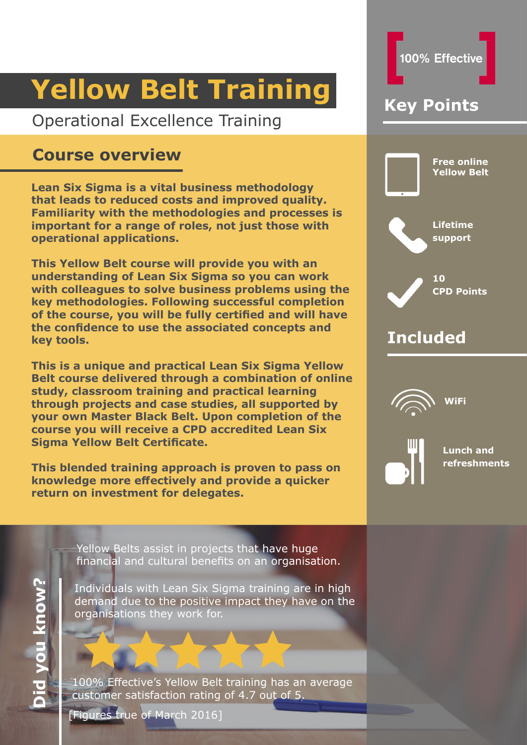## Operational Excellence Training

## **Course overview**

**Lean Six Sigma is a vital business methodology that leads to reduced costs and improved quality. Familiarity with the methodologies and processes is important for a range of roles, not just those with operational applications.**

**This Yellow Belt course will provide you with an understanding of Lean Six Sigma so you can work with colleagues to solve business problems using the key methodologies. Following successful completion of the course, you will be fully certified and will have the confidence to use the associated concepts and key tools.** 

**This is a unique and practical Lean Six Sigma Yellow Belt course delivered through a combination of online study, classroom training and practical learning through projects and case studies, all supported by your own Master Black Belt. Upon completion of the course you will receive a CPD accredited Lean Six Sigma Yellow Belt Certificate.**

**This blended training approach is proven to pass on knowledge more effectively and provide a quicker return on investment for delegates.** 



100% Effective

Yellow Belts assist in projects that have huge financial and cultural benefits on an organisation.

Individuals with Lean Six Sigma training are in high demand due to the positive impact they have on the organisations they work for.

100% Effective's Yellow Belt training has an average customer satisfaction rating of 4.7 out of 5.

[Figures true of March 2016]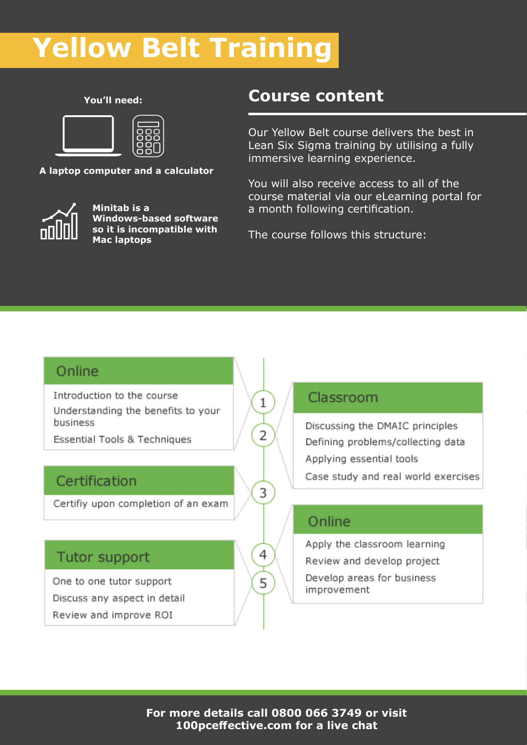**You'll need:**



**A laptop computer and a calculator**



**Minitab is a Windows-based software so it is incompatible with Mac laptops**

## **Course content**

Our Yellow Belt course delivers the best in Lean Six Sigma training by utilising a fully immersive learning experience.

You will also receive access to all of the course material via our eLearning portal for a month following certification.

The course follows this structure:

## Online

Introduction to the course Understanding the benefits to your business

Essential Tools & Techniques

### Certification

Certifiy upon completion of an exam

### Tutor support

One to one tutor support Discuss any aspect in detail Review and improve ROI

### Classroom

Discussing the DMAIC principles Defining problems/collecting data Applying essential tools Case study and real world exercises

### Online

Apply the classroom learning

Review and develop project

Develop areas for business improvement

 $\mathbf{1}$ 

2

3

4

5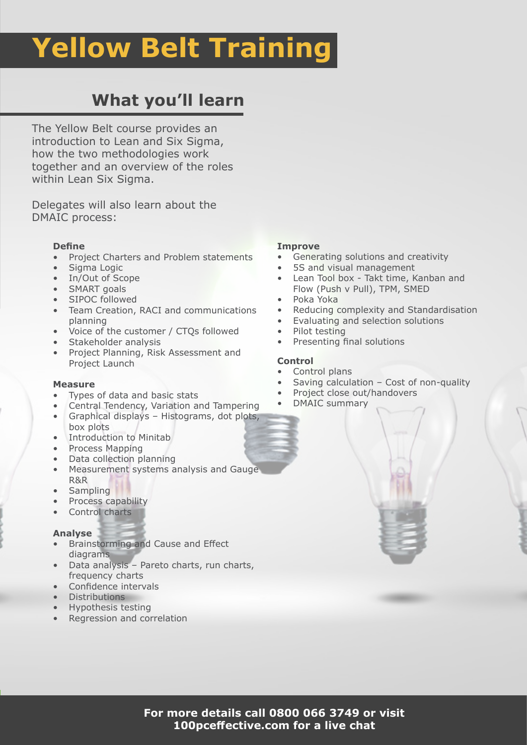## **What you'll learn**

The Yellow Belt course provides an introduction to Lean and Six Sigma, how the two methodologies work together and an overview of the roles within Lean Six Sigma.

Delegates will also learn about the DMAIC process:

### **Define**

- Project Charters and Problem statements
- Sigma Logic
- In/Out of Scope
- SMART goals
- SIPOC followed
- Team Creation, RACI and communications planning
- Voice of the customer / CTQs followed
- Stakeholder analysis
- Project Planning, Risk Assessment and Project Launch

#### **Measure**

- Types of data and basic stats
- Central Tendency, Variation and Tampering
- Graphical displays Histograms, dot plots, box plots
- Introduction to Minitab
- Process Mapping
- Data collection planning
- Measurement systems analysis and Gauge R&R
- Sampling
- Process capability
- Control charts

#### **Analyse**

- Brainstorming and Cause and Effect diagrams
- Data analysis Pareto charts, run charts, frequency charts
- Confidence intervals
- Distributions
- Hypothesis testing
- Regression and correlation

### **Improve**

- Generating solutions and creativity
- 5S and visual management
- Lean Tool box Takt time, Kanban and Flow (Push v Pull), TPM, SMED
- Poka Yoka
- Reducing complexity and Standardisation
- Evaluating and selection solutions
- Pilot testing
- Presenting final solutions

### **Control**

- Control plans
- Saving calculation Cost of non-quality
- Project close out/handovers
- DMAIC summary